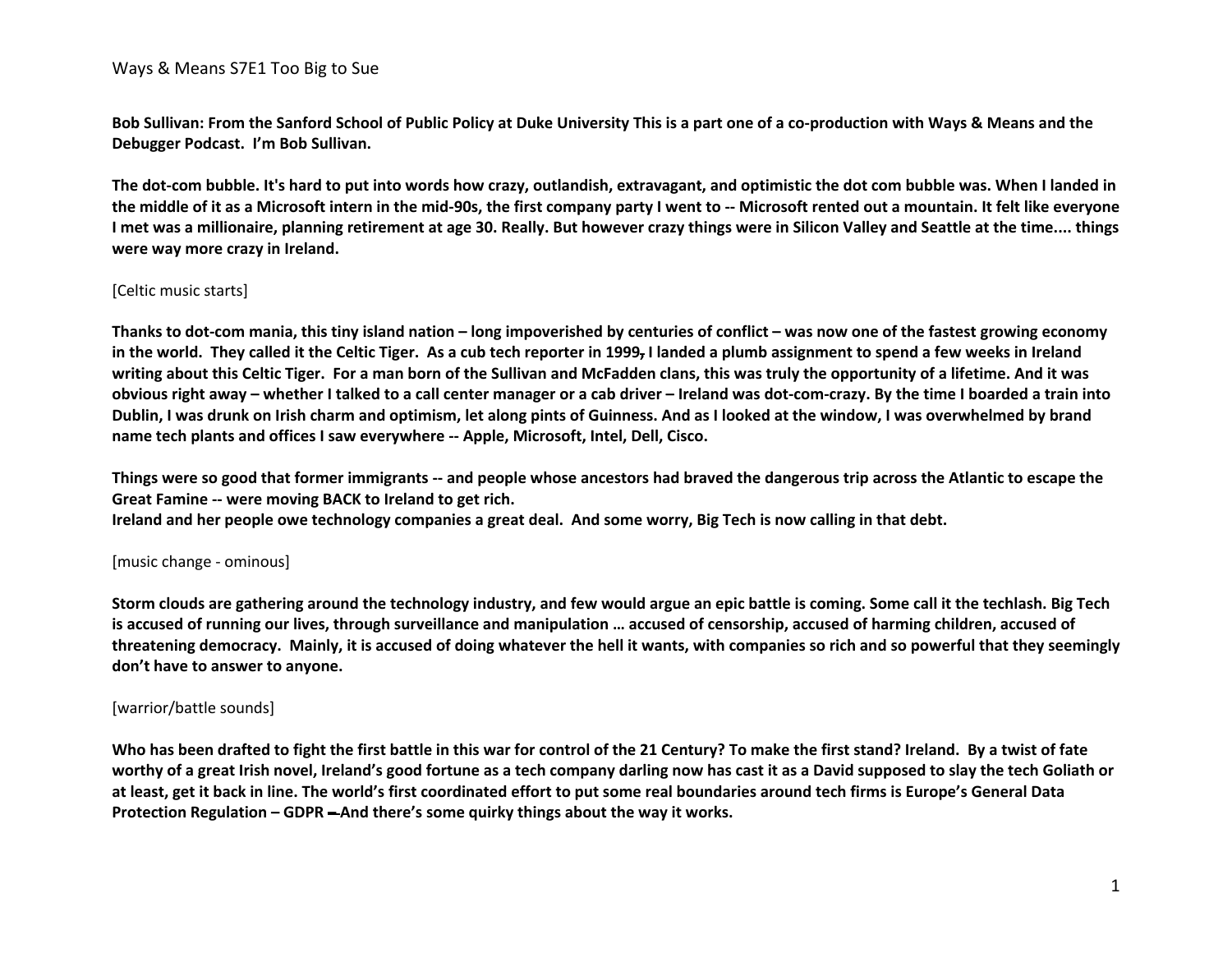**Bob Sullivan: From the Sanford School of Public Policy at Duke University This is a part one of a co-production with Ways & Means and the Debugger Podcast. I'm Bob Sullivan.**

**The dot-com bubble. It's hard to put into words how crazy, outlandish, extravagant, and optimistic the dot com bubble was. When I landed in the middle of it as a Microsoft intern in the mid-90s, the first company party I went to -- Microsoft rented out a mountain. It felt like everyone I met was a millionaire, planning retirement at age 30. Really. But however crazy things were in Silicon Valley and Seattle at the time.... things were way more crazy in Ireland.** 

#### [Celtic music starts]

**Thanks to dot-com mania, this tiny island nation – long impoverished by centuries of conflict – was now one of the fastest growing economy in the world. They called it the Celtic Tiger. As a cub tech reporter in 1999, I landed a plumb assignment to spend a few weeks in Ireland writing about this Celtic Tiger. For a man born of the Sullivan and McFadden clans, this was truly the opportunity of a lifetime. And it was obvious right away – whether I talked to a call center manager or a cab driver – Ireland was dot-com-crazy. By the time I boarded a train into Dublin, I was drunk on Irish charm and optimism, let along pints of Guinness. And as I looked at the window, I was overwhelmed by brand name tech plants and offices I saw everywhere -- Apple, Microsoft, Intel, Dell, Cisco.**

**Things were so good that former immigrants -- and people whose ancestors had braved the dangerous trip across the Atlantic to escape the Great Famine -- were moving BACK to Ireland to get rich. Ireland and her people owe technology companies a great deal. And some worry, Big Tech is now calling in that debt.**

#### [music change - ominous]

**Storm clouds are gathering around the technology industry, and few would argue an epic battle is coming. Some call it the techlash. Big Tech is accused of running our lives, through surveillance and manipulation … accused of censorship, accused of harming children, accused of threatening democracy. Mainly, it is accused of doing whatever the hell it wants, with companies so rich and so powerful that they seemingly don't have to answer to anyone.** 

#### [warrior/battle sounds]

**Who has been drafted to fight the first battle in this war for control of the 21 Century? To make the first stand? Ireland. By a twist of fate worthy of a great Irish novel, Ireland's good fortune as a tech company darling now has cast it as a David supposed to slay the tech Goliath or at least, get it back in line. The world's first coordinated effort to put some real boundaries around tech firms is Europe's General Data Protection Regulation – GDPR – And there's some quirky things about the way it works.**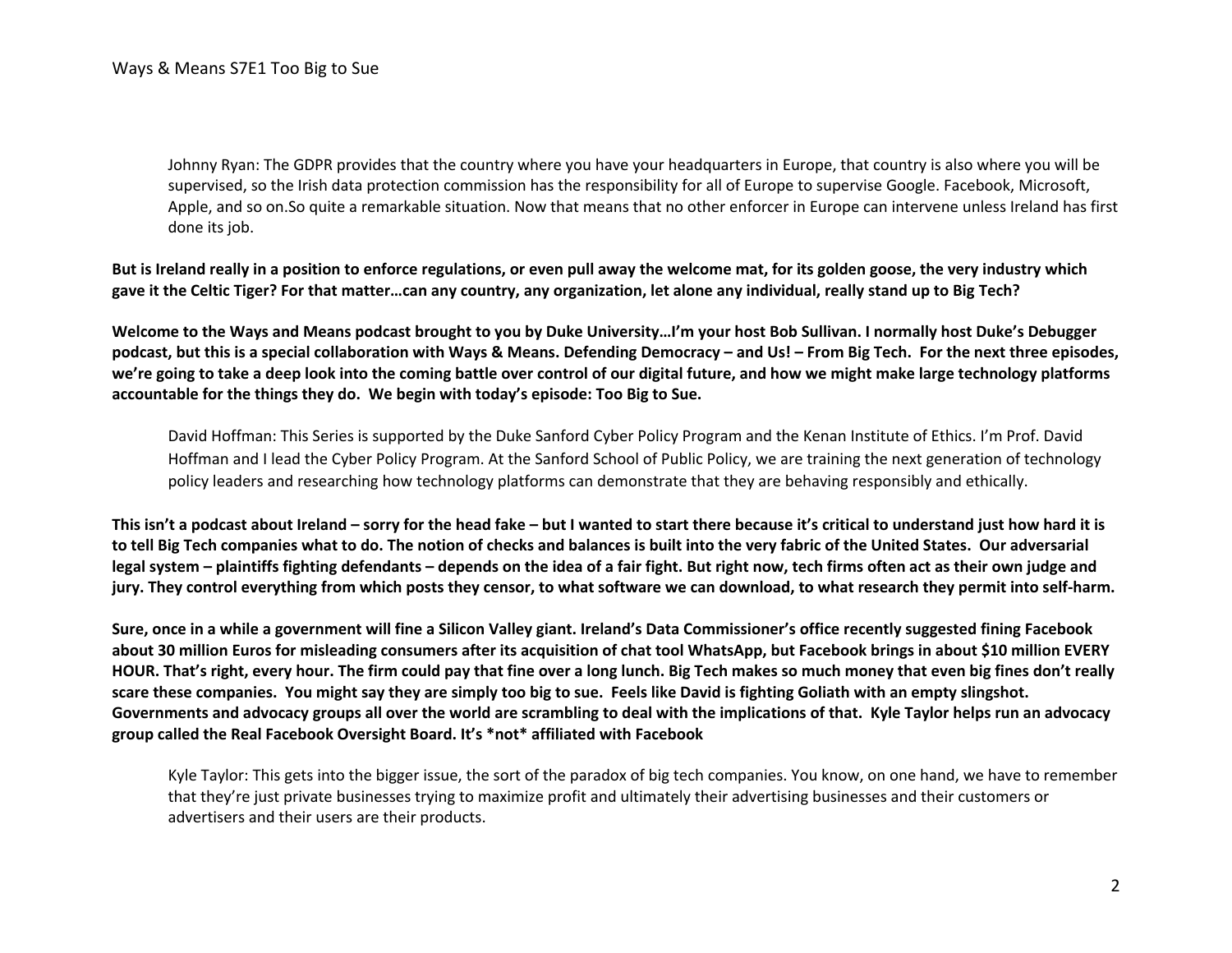Johnny Ryan: The GDPR provides that the country where you have your headquarters in Europe, that country is also where you will be supervised, so the Irish data protection commission has the responsibility for all of Europe to supervise Google. Facebook, Microsoft, Apple, and so on.So quite a remarkable situation. Now that means that no other enforcer in Europe can intervene unless Ireland has first done its job.

**But is Ireland really in a position to enforce regulations, or even pull away the welcome mat, for its golden goose, the very industry which gave it the Celtic Tiger? For that matter…can any country, any organization, let alone any individual, really stand up to Big Tech?**

**Welcome to the Ways and Means podcast brought to you by Duke University…I'm your host Bob Sullivan. I normally host Duke's Debugger podcast, but this is a special collaboration with Ways & Means. Defending Democracy – and Us! – From Big Tech. For the next three episodes, we're going to take a deep look into the coming battle over control of our digital future, and how we might make large technology platforms accountable for the things they do. We begin with today's episode: Too Big to Sue.**

David Hoffman: This Series is supported by the Duke Sanford Cyber Policy Program and the Kenan Institute of Ethics. I'm Prof. David Hoffman and I lead the Cyber Policy Program. At the Sanford School of Public Policy, we are training the next generation of technology policy leaders and researching how technology platforms can demonstrate that they are behaving responsibly and ethically.

**This isn't a podcast about Ireland – sorry for the head fake – but I wanted to start there because it's critical to understand just how hard it is to tell Big Tech companies what to do. The notion of checks and balances is built into the very fabric of the United States. Our adversarial legal system – plaintiffs fighting defendants – depends on the idea of a fair fight. But right now, tech firms often act as their own judge and jury. They control everything from which posts they censor, to what software we can download, to what research they permit into self-harm.** 

**Sure, once in a while a government will fine a Silicon Valley giant. Ireland's Data Commissioner's office recently suggested fining Facebook about 30 million Euros for misleading consumers after its acquisition of chat tool WhatsApp, but Facebook brings in about \$10 million EVERY HOUR. That's right, every hour. The firm could pay that fine over a long lunch. Big Tech makes so much money that even big fines don't really scare these companies. You might say they are simply too big to sue. Feels like David is fighting Goliath with an empty slingshot. Governments and advocacy groups all over the world are scrambling to deal with the implications of that. Kyle Taylor helps run an advocacy group called the Real Facebook Oversight Board. It's \*not\* affiliated with Facebook**

Kyle Taylor: This gets into the bigger issue, the sort of the paradox of big tech companies. You know, on one hand, we have to remember that they're just private businesses trying to maximize profit and ultimately their advertising businesses and their customers or advertisers and their users are their products.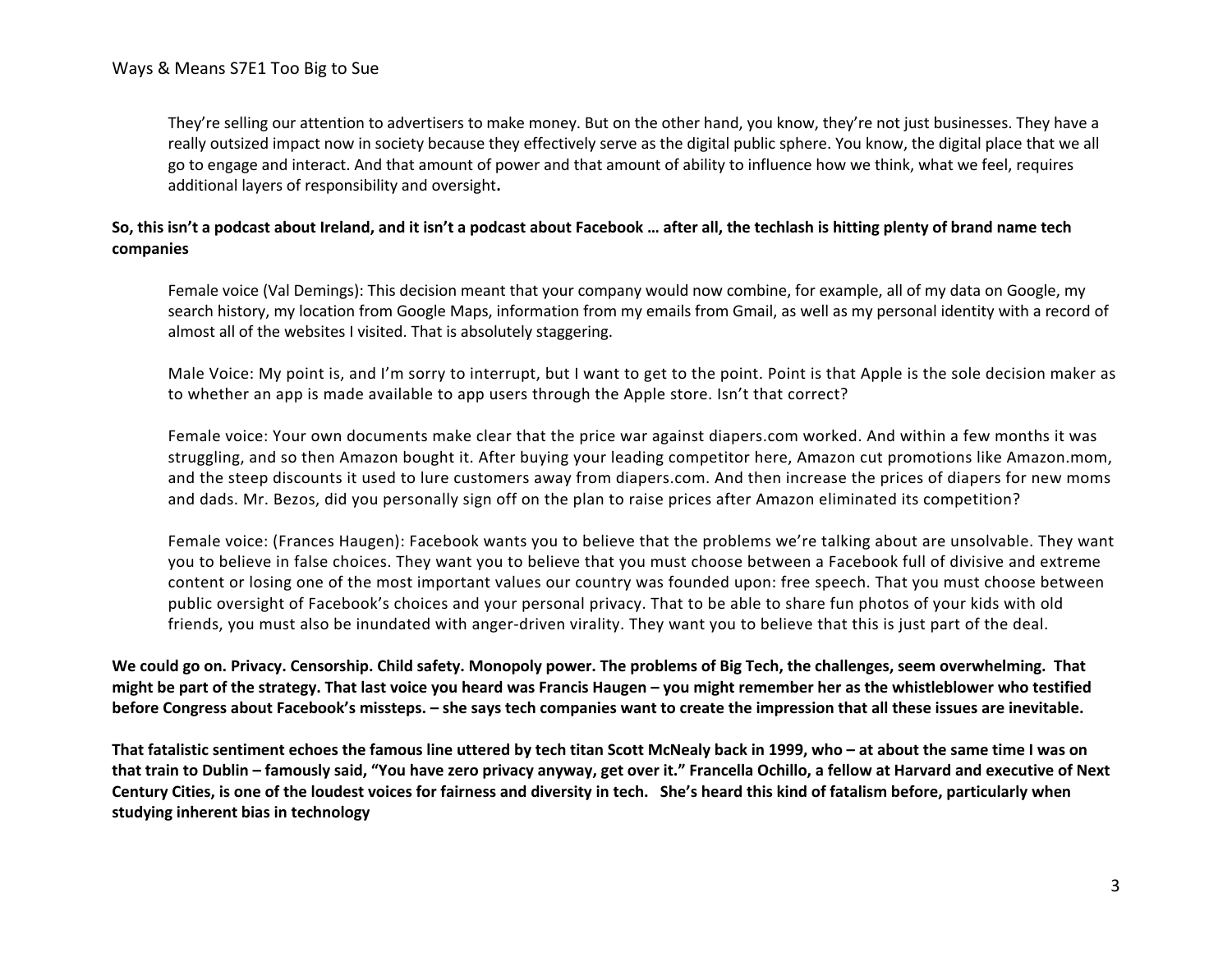They're selling our attention to advertisers to make money. But on the other hand, you know, they're not just businesses. They have a really outsized impact now in society because they effectively serve as the digital public sphere. You know, the digital place that we all go to engage and interact. And that amount of power and that amount of ability to influence how we think, what we feel, requires additional layers of responsibility and oversight**.**

# **So, this isn't a podcast about Ireland, and it isn't a podcast about Facebook … after all, the techlash is hitting plenty of brand name tech companies**

Female voice (Val Demings): This decision meant that your company would now combine, for example, all of my data on Google, my search history, my location from Google Maps, information from my emails from Gmail, as well as my personal identity with a record of almost all of the websites I visited. That is absolutely staggering.

Male Voice: My point is, and I'm sorry to interrupt, but I want to get to the point. Point is that Apple is the sole decision maker as to whether an app is made available to app users through the Apple store. Isn't that correct?

Female voice: Your own documents make clear that the price war against diapers.com worked. And within a few months it was struggling, and so then Amazon bought it. After buying your leading competitor here, Amazon cut promotions like Amazon.mom, and the steep discounts it used to lure customers away from diapers.com. And then increase the prices of diapers for new moms and dads. Mr. Bezos, did you personally sign off on the plan to raise prices after Amazon eliminated its competition?

Female voice: (Frances Haugen): Facebook wants you to believe that the problems we're talking about are unsolvable. They want you to believe in false choices. They want you to believe that you must choose between a Facebook full of divisive and extreme content or losing one of the most important values our country was founded upon: free speech. That you must choose between public oversight of Facebook's choices and your personal privacy. That to be able to share fun photos of your kids with old friends, you must also be inundated with anger-driven virality. They want you to believe that this is just part of the deal.

**We could go on. Privacy. Censorship. Child safety. Monopoly power. The problems of Big Tech, the challenges, seem overwhelming. That might be part of the strategy. That last voice you heard was Francis Haugen – you might remember her as the whistleblower who testified before Congress about Facebook's missteps. – she says tech companies want to create the impression that all these issues are inevitable.** 

**That fatalistic sentiment echoes the famous line uttered by tech titan Scott McNealy back in 1999, who – at about the same time I was on that train to Dublin – famously said, "You have zero privacy anyway, get over it." Francella Ochillo, a fellow at Harvard and executive of Next Century Cities, is one of the loudest voices for fairness and diversity in tech. She's heard this kind of fatalism before, particularly when studying inherent bias in technology**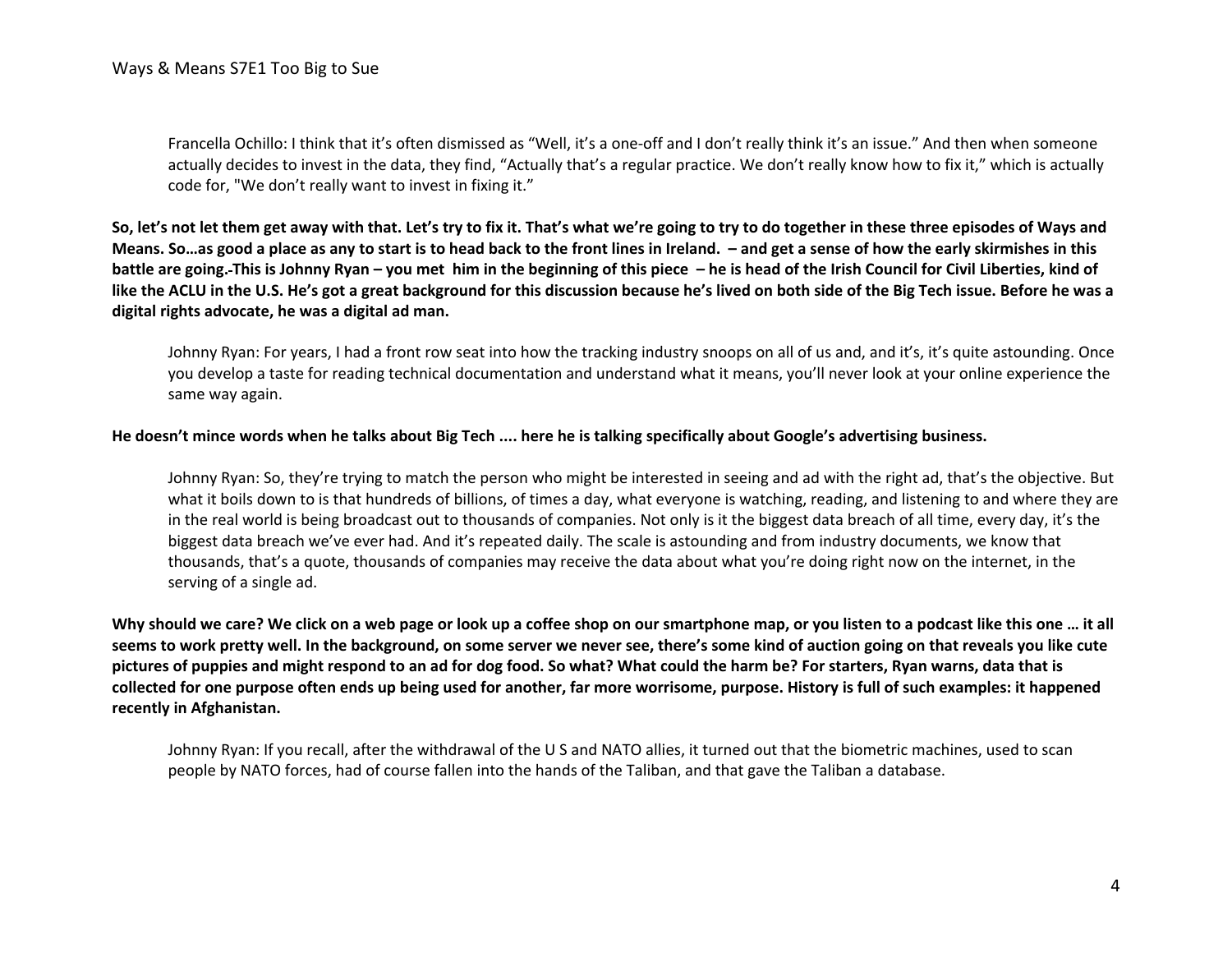Francella Ochillo: I think that it's often dismissed as "Well, it's a one-off and I don't really think it's an issue." And then when someone actually decides to invest in the data, they find, "Actually that's a regular practice. We don't really know how to fix it," which is actually code for, "We don't really want to invest in fixing it."

**So, let's not let them get away with that. Let's try to fix it. That's what we're going to try to do together in these three episodes of Ways and Means. So…as good a place as any to start is to head back to the front lines in Ireland. – and get a sense of how the early skirmishes in this battle are going. This is Johnny Ryan – you met him in the beginning of this piece – he is head of the Irish Council for Civil Liberties, kind of like the ACLU in the U.S. He's got a great background for this discussion because he's lived on both side of the Big Tech issue. Before he was a digital rights advocate, he was a digital ad man.**

Johnny Ryan: For years, I had a front row seat into how the tracking industry snoops on all of us and, and it's, it's quite astounding. Once you develop a taste for reading technical documentation and understand what it means, you'll never look at your online experience the same way again.

#### **He doesn't mince words when he talks about Big Tech .... here he is talking specifically about Google's advertising business.**

Johnny Ryan: So, they're trying to match the person who might be interested in seeing and ad with the right ad, that's the objective. But what it boils down to is that hundreds of billions, of times a day, what everyone is watching, reading, and listening to and where they are in the real world is being broadcast out to thousands of companies. Not only is it the biggest data breach of all time, every day, it's the biggest data breach we've ever had. And it's repeated daily. The scale is astounding and from industry documents, we know that thousands, that's a quote, thousands of companies may receive the data about what you're doing right now on the internet, in the serving of a single ad.

**Why should we care? We click on a web page or look up a coffee shop on our smartphone map, or you listen to a podcast like this one … it all seems to work pretty well. In the background, on some server we never see, there's some kind of auction going on that reveals you like cute pictures of puppies and might respond to an ad for dog food. So what? What could the harm be? For starters, Ryan warns, data that is collected for one purpose often ends up being used for another, far more worrisome, purpose. History is full of such examples: it happened recently in Afghanistan.**

Johnny Ryan: If you recall, after the withdrawal of the U S and NATO allies, it turned out that the biometric machines, used to scan people by NATO forces, had of course fallen into the hands of the Taliban, and that gave the Taliban a database.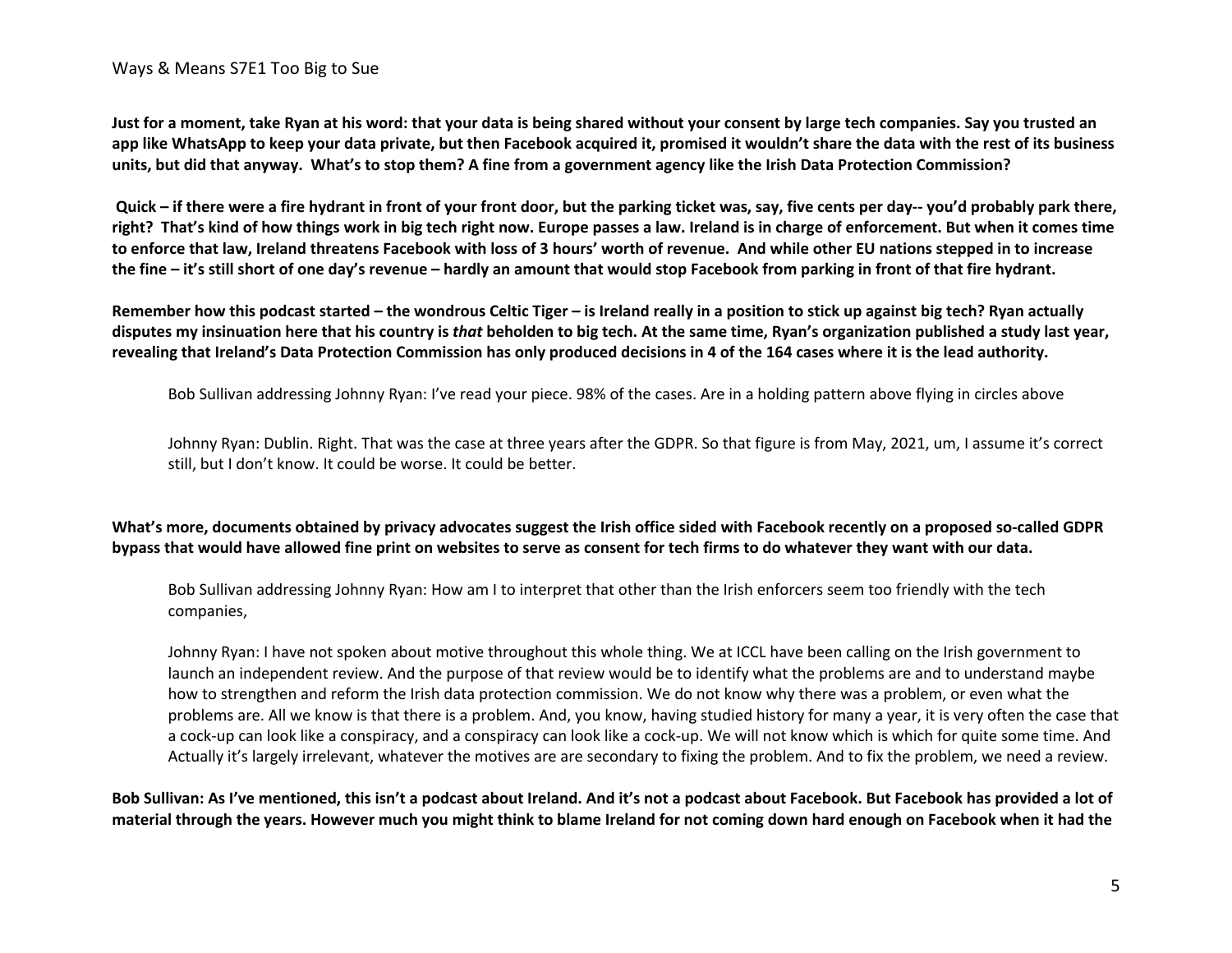**Just for a moment, take Ryan at his word: that your data is being shared without your consent by large tech companies. Say you trusted an app like WhatsApp to keep your data private, but then Facebook acquired it, promised it wouldn't share the data with the rest of its business units, but did that anyway. What's to stop them? A fine from a government agency like the Irish Data Protection Commission?**

**Quick – if there were a fire hydrant in front of your front door, but the parking ticket was, say, five cents per day-- you'd probably park there, right? That's kind of how things work in big tech right now. Europe passes a law. Ireland is in charge of enforcement. But when it comes time to enforce that law, Ireland threatens Facebook with loss of 3 hours' worth of revenue. And while other EU nations stepped in to increase the fine – it's still short of one day's revenue – hardly an amount that would stop Facebook from parking in front of that fire hydrant.** 

**Remember how this podcast started – the wondrous Celtic Tiger – is Ireland really in a position to stick up against big tech? Ryan actually disputes my insinuation here that his country is** *that* **beholden to big tech. At the same time, Ryan's organization published a study last year, revealing that Ireland's Data Protection Commission has only produced decisions in 4 of the 164 cases where it is the lead authority.**

Bob Sullivan addressing Johnny Ryan: I've read your piece. 98% of the cases. Are in a holding pattern above flying in circles above

Johnny Ryan: Dublin. Right. That was the case at three years after the GDPR. So that figure is from May, 2021, um, I assume it's correct still, but I don't know. It could be worse. It could be better.

## **What's more, documents obtained by privacy advocates suggest the Irish office sided with Facebook recently on a proposed so-called GDPR bypass that would have allowed fine print on websites to serve as consent for tech firms to do whatever they want with our data.**

Bob Sullivan addressing Johnny Ryan: How am I to interpret that other than the Irish enforcers seem too friendly with the tech companies,

Johnny Ryan: I have not spoken about motive throughout this whole thing. We at ICCL have been calling on the Irish government to launch an independent review. And the purpose of that review would be to identify what the problems are and to understand maybe how to strengthen and reform the Irish data protection commission. We do not know why there was a problem, or even what the problems are. All we know is that there is a problem. And, you know, having studied history for many a year, it is very often the case that a cock-up can look like a conspiracy, and a conspiracy can look like a cock-up. We will not know which is which for quite some time. And Actually it's largely irrelevant, whatever the motives are are secondary to fixing the problem. And to fix the problem, we need a review.

**Bob Sullivan: As I've mentioned, this isn't a podcast about Ireland. And it's not a podcast about Facebook. But Facebook has provided a lot of material through the years. However much you might think to blame Ireland for not coming down hard enough on Facebook when it had the**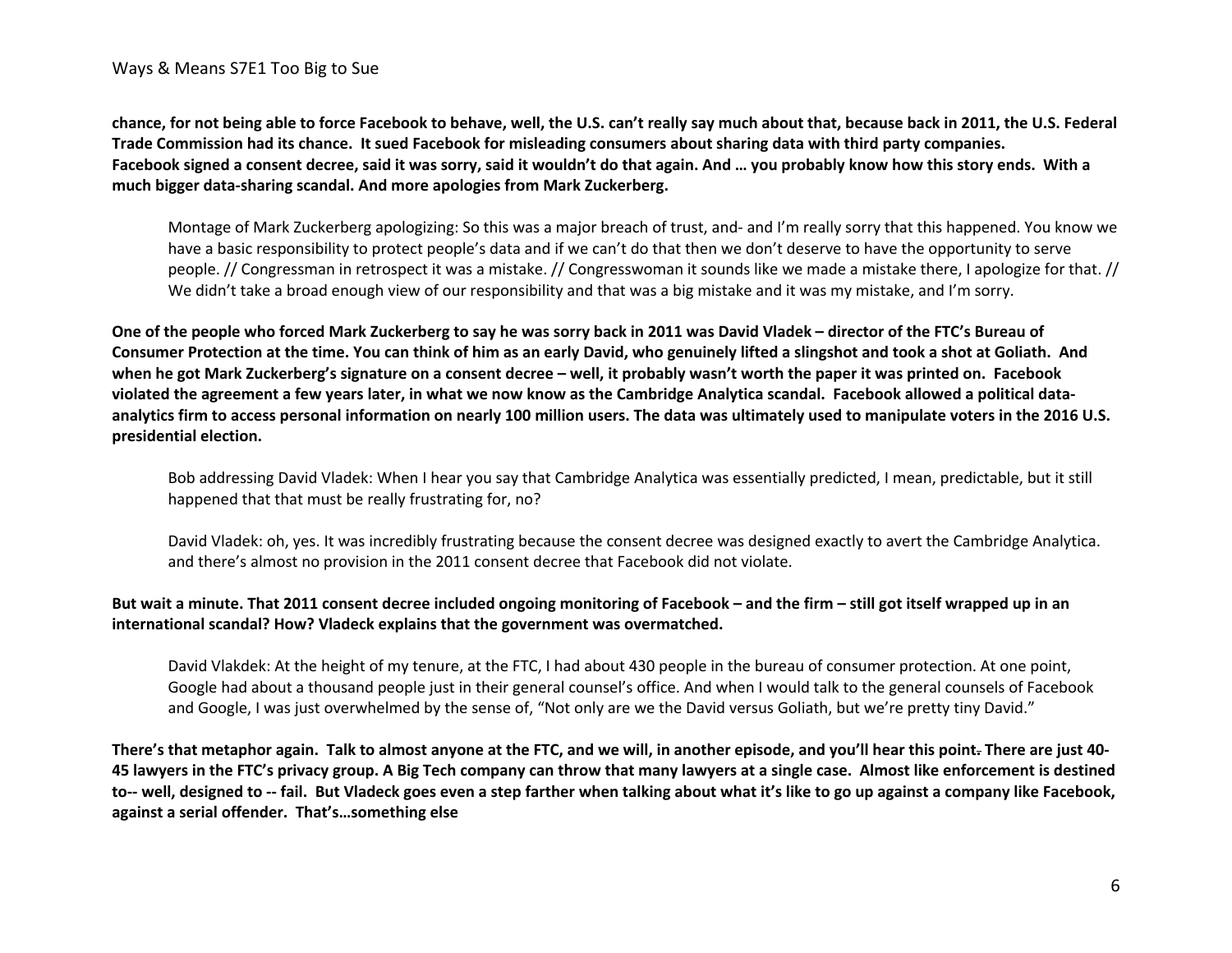**chance, for not being able to force Facebook to behave, well, the U.S. can't really say much about that, because back in 2011, the U.S. Federal Trade Commission had its chance. It sued Facebook for misleading consumers about sharing data with third party companies. Facebook signed a consent decree, said it was sorry, said it wouldn't do that again. And … you probably know how this story ends. With a much bigger data-sharing scandal. And more apologies from Mark Zuckerberg.**

Montage of Mark Zuckerberg apologizing: So this was a major breach of trust, and- and I'm really sorry that this happened. You know we have a basic responsibility to protect people's data and if we can't do that then we don't deserve to have the opportunity to serve people. // Congressman in retrospect it was a mistake. // Congresswoman it sounds like we made a mistake there, I apologize for that. // We didn't take a broad enough view of our responsibility and that was a big mistake and it was my mistake, and I'm sorry.

**One of the people who forced Mark Zuckerberg to say he was sorry back in 2011 was David Vladek – director of the FTC's Bureau of Consumer Protection at the time. You can think of him as an early David, who genuinely lifted a slingshot and took a shot at Goliath. And when he got Mark Zuckerberg's signature on a consent decree – well, it probably wasn't worth the paper it was printed on. Facebook violated the agreement a few years later, in what we now know as the Cambridge Analytica scandal. Facebook allowed a political dataanalytics firm to access personal information on nearly 100 million users. The data was ultimately used to manipulate voters in the 2016 U.S. presidential election.** 

Bob addressing David Vladek: When I hear you say that Cambridge Analytica was essentially predicted, I mean, predictable, but it still happened that that must be really frustrating for, no?

David Vladek: oh, yes. It was incredibly frustrating because the consent decree was designed exactly to avert the Cambridge Analytica. and there's almost no provision in the 2011 consent decree that Facebook did not violate.

## **But wait a minute. That 2011 consent decree included ongoing monitoring of Facebook – and the firm – still got itself wrapped up in an international scandal? How? Vladeck explains that the government was overmatched.**

David Vlakdek: At the height of my tenure, at the FTC, I had about 430 people in the bureau of consumer protection. At one point, Google had about a thousand people just in their general counsel's office. And when I would talk to the general counsels of Facebook and Google, I was just overwhelmed by the sense of, "Not only are we the David versus Goliath, but we're pretty tiny David."

**There's that metaphor again. Talk to almost anyone at the FTC, and we will, in another episode, and you'll hear this point. There are just 40- 45 lawyers in the FTC's privacy group. A Big Tech company can throw that many lawyers at a single case. Almost like enforcement is destined to-- well, designed to -- fail. But Vladeck goes even a step farther when talking about what it's like to go up against a company like Facebook, against a serial offender. That's…something else**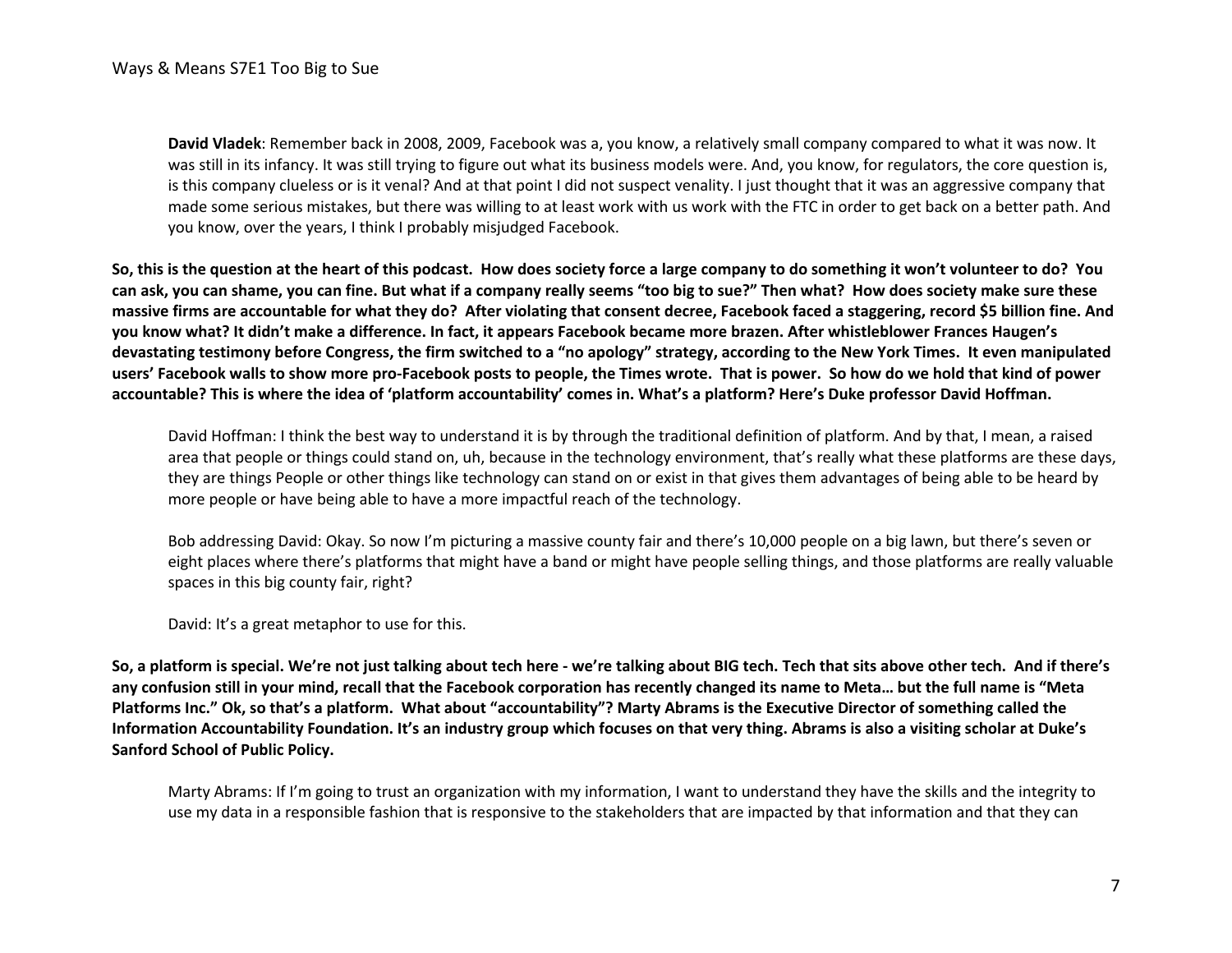**David Vladek**: Remember back in 2008, 2009, Facebook was a, you know, a relatively small company compared to what it was now. It was still in its infancy. It was still trying to figure out what its business models were. And, you know, for regulators, the core question is, is this company clueless or is it venal? And at that point I did not suspect venality. I just thought that it was an aggressive company that made some serious mistakes, but there was willing to at least work with us work with the FTC in order to get back on a better path. And you know, over the years, I think I probably misjudged Facebook.

**So, this is the question at the heart of this podcast. How does society force a large company to do something it won't volunteer to do? You can ask, you can shame, you can fine. But what if a company really seems "too big to sue?" Then what? How does society make sure these massive firms are accountable for what they do? After violating that consent decree, Facebook faced a staggering, record \$5 billion fine. And you know what? It didn't make a difference. In fact, it appears Facebook became more brazen. After whistleblower Frances Haugen's devastating testimony before Congress, the firm switched to a "no apology" strategy, according to the New York Times. It even manipulated users' Facebook walls to show more pro-Facebook posts to people, the Times wrote. That is power. So how do we hold that kind of power accountable? This is where the idea of 'platform accountability' comes in. What's a platform? Here's Duke professor David Hoffman.**

David Hoffman: I think the best way to understand it is by through the traditional definition of platform. And by that, I mean, a raised area that people or things could stand on, uh, because in the technology environment, that's really what these platforms are these days, they are things People or other things like technology can stand on or exist in that gives them advantages of being able to be heard by more people or have being able to have a more impactful reach of the technology.

Bob addressing David: Okay. So now I'm picturing a massive county fair and there's 10,000 people on a big lawn, but there's seven or eight places where there's platforms that might have a band or might have people selling things, and those platforms are really valuable spaces in this big county fair, right?

David: It's a great metaphor to use for this.

**So, a platform is special. We're not just talking about tech here - we're talking about BIG tech. Tech that sits above other tech. And if there's any confusion still in your mind, recall that the Facebook corporation has recently changed its name to Meta… but the full name is "Meta Platforms Inc." Ok, so that's a platform. What about "accountability"? Marty Abrams is the Executive Director of something called the Information Accountability Foundation. It's an industry group which focuses on that very thing. Abrams is also a visiting scholar at Duke's Sanford School of Public Policy.**

Marty Abrams: If I'm going to trust an organization with my information, I want to understand they have the skills and the integrity to use my data in a responsible fashion that is responsive to the stakeholders that are impacted by that information and that they can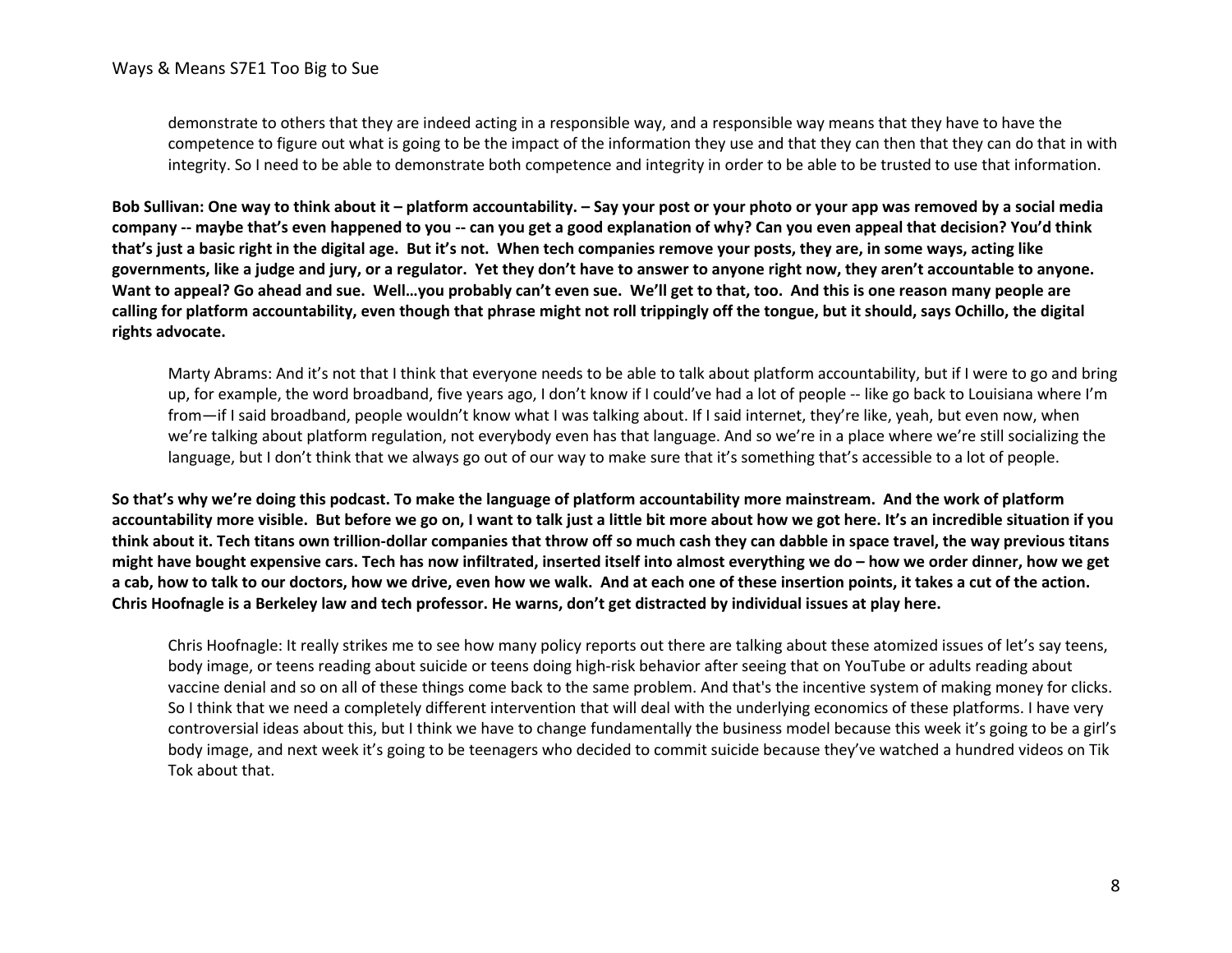demonstrate to others that they are indeed acting in a responsible way, and a responsible way means that they have to have the competence to figure out what is going to be the impact of the information they use and that they can then that they can do that in with integrity. So I need to be able to demonstrate both competence and integrity in order to be able to be trusted to use that information.

**Bob Sullivan: One way to think about it – platform accountability. – Say your post or your photo or your app was removed by a social media company -- maybe that's even happened to you -- can you get a good explanation of why? Can you even appeal that decision? You'd think that's just a basic right in the digital age. But it's not. When tech companies remove your posts, they are, in some ways, acting like governments, like a judge and jury, or a regulator. Yet they don't have to answer to anyone right now, they aren't accountable to anyone. Want to appeal? Go ahead and sue. Well…you probably can't even sue. We'll get to that, too. And this is one reason many people are calling for platform accountability, even though that phrase might not roll trippingly off the tongue, but it should, says Ochillo, the digital rights advocate.**

Marty Abrams: And it's not that I think that everyone needs to be able to talk about platform accountability, but if I were to go and bring up, for example, the word broadband, five years ago, I don't know if I could've had a lot of people -- like go back to Louisiana where I'm from—if I said broadband, people wouldn't know what I was talking about. If I said internet, they're like, yeah, but even now, when we're talking about platform regulation, not everybody even has that language. And so we're in a place where we're still socializing the language, but I don't think that we always go out of our way to make sure that it's something that's accessible to a lot of people.

**So that's why we're doing this podcast. To make the language of platform accountability more mainstream. And the work of platform accountability more visible. But before we go on, I want to talk just a little bit more about how we got here. It's an incredible situation if you think about it. Tech titans own trillion-dollar companies that throw off so much cash they can dabble in space travel, the way previous titans might have bought expensive cars. Tech has now infiltrated, inserted itself into almost everything we do – how we order dinner, how we get a cab, how to talk to our doctors, how we drive, even how we walk. And at each one of these insertion points, it takes a cut of the action. Chris Hoofnagle is a Berkeley law and tech professor. He warns, don't get distracted by individual issues at play here.**

Chris Hoofnagle: It really strikes me to see how many policy reports out there are talking about these atomized issues of let's say teens, body image, or teens reading about suicide or teens doing high-risk behavior after seeing that on YouTube or adults reading about vaccine denial and so on all of these things come back to the same problem. And that's the incentive system of making money for clicks. So I think that we need a completely different intervention that will deal with the underlying economics of these platforms. I have very controversial ideas about this, but I think we have to change fundamentally the business model because this week it's going to be a girl's body image, and next week it's going to be teenagers who decided to commit suicide because they've watched a hundred videos on Tik Tok about that.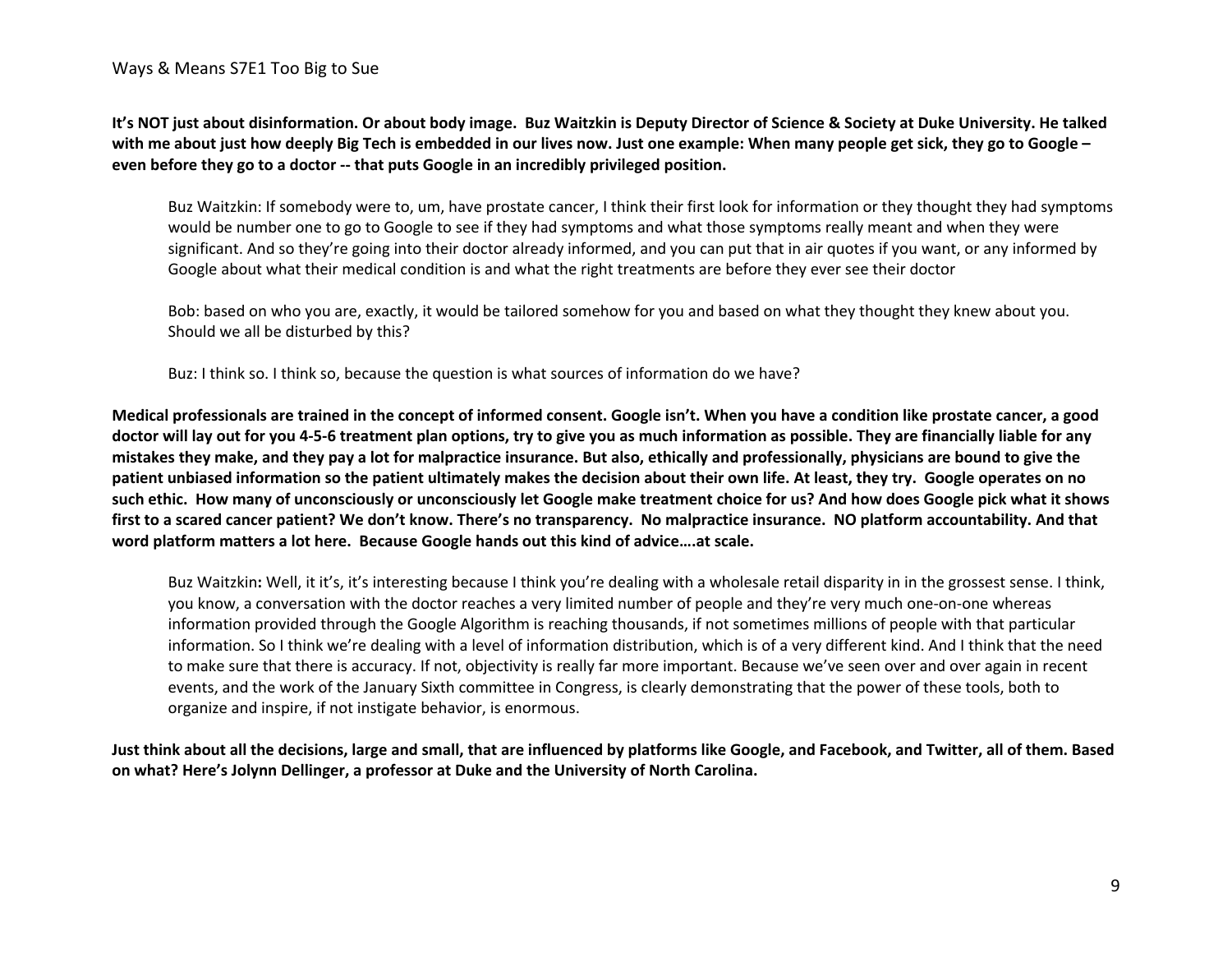**It's NOT just about disinformation. Or about body image. Buz Waitzkin is Deputy Director of Science & Society at Duke University. He talked with me about just how deeply Big Tech is embedded in our lives now. Just one example: When many people get sick, they go to Google – even before they go to a doctor -- that puts Google in an incredibly privileged position.**

Buz Waitzkin: If somebody were to, um, have prostate cancer, I think their first look for information or they thought they had symptoms would be number one to go to Google to see if they had symptoms and what those symptoms really meant and when they were significant. And so they're going into their doctor already informed, and you can put that in air quotes if you want, or any informed by Google about what their medical condition is and what the right treatments are before they ever see their doctor

Bob: based on who you are, exactly, it would be tailored somehow for you and based on what they thought they knew about you. Should we all be disturbed by this?

Buz: I think so. I think so, because the question is what sources of information do we have?

**Medical professionals are trained in the concept of informed consent. Google isn't. When you have a condition like prostate cancer, a good doctor will lay out for you 4-5-6 treatment plan options, try to give you as much information as possible. They are financially liable for any mistakes they make, and they pay a lot for malpractice insurance. But also, ethically and professionally, physicians are bound to give the patient unbiased information so the patient ultimately makes the decision about their own life. At least, they try. Google operates on no such ethic. How many of unconsciously or unconsciously let Google make treatment choice for us? And how does Google pick what it shows first to a scared cancer patient? We don't know. There's no transparency. No malpractice insurance. NO platform accountability. And that word platform matters a lot here. Because Google hands out this kind of advice….at scale.**

Buz Waitzkin**:** Well, it it's, it's interesting because I think you're dealing with a wholesale retail disparity in in the grossest sense. I think, you know, a conversation with the doctor reaches a very limited number of people and they're very much one-on-one whereas information provided through the Google Algorithm is reaching thousands, if not sometimes millions of people with that particular information. So I think we're dealing with a level of information distribution, which is of a very different kind. And I think that the need to make sure that there is accuracy. If not, objectivity is really far more important. Because we've seen over and over again in recent events, and the work of the January Sixth committee in Congress, is clearly demonstrating that the power of these tools, both to organize and inspire, if not instigate behavior, is enormous.

**Just think about all the decisions, large and small, that are influenced by platforms like Google, and Facebook, and Twitter, all of them. Based on what? Here's Jolynn Dellinger, a professor at Duke and the University of North Carolina.**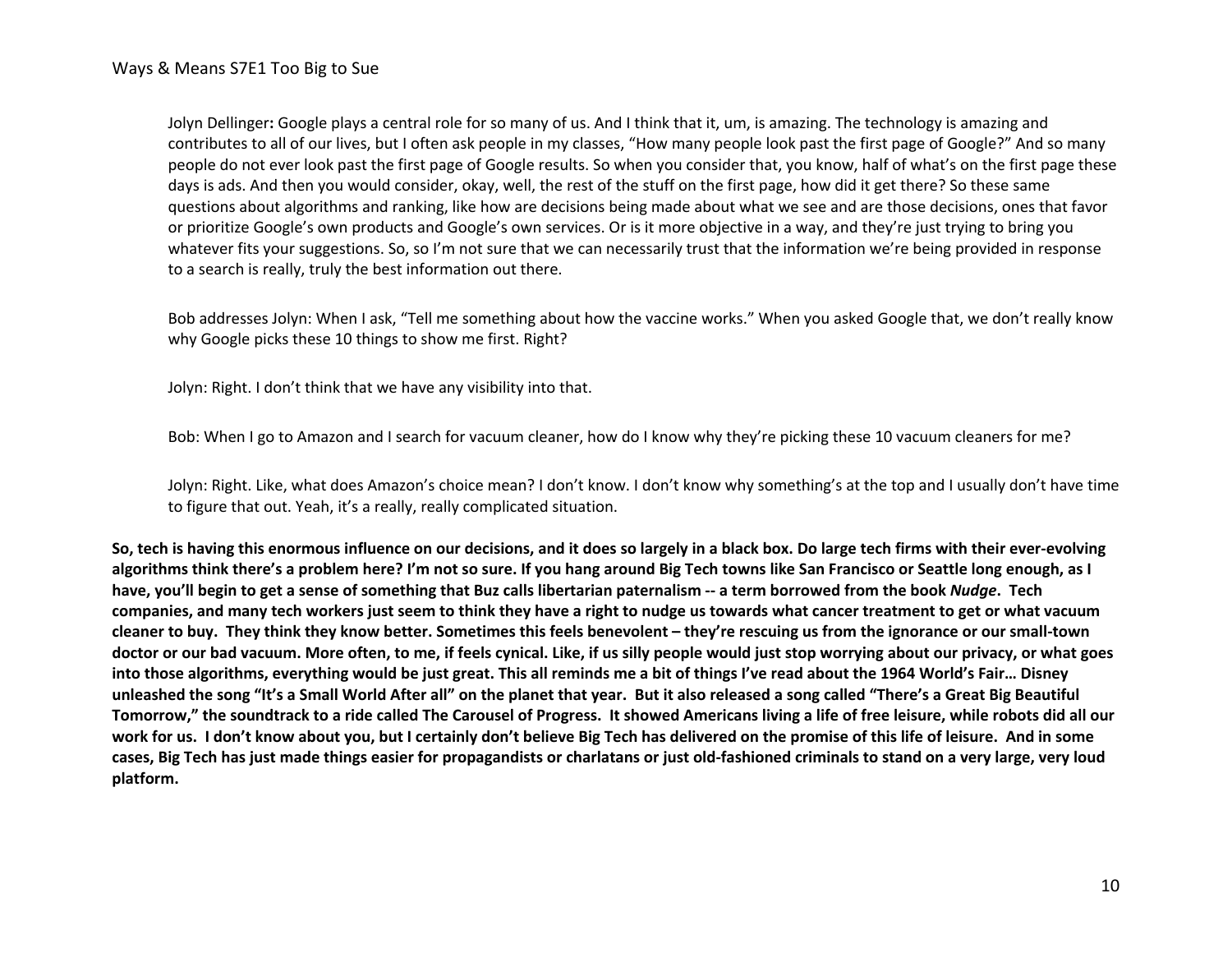Jolyn Dellinger**:** Google plays a central role for so many of us. And I think that it, um, is amazing. The technology is amazing and contributes to all of our lives, but I often ask people in my classes, "How many people look past the first page of Google?" And so many people do not ever look past the first page of Google results. So when you consider that, you know, half of what's on the first page these days is ads. And then you would consider, okay, well, the rest of the stuff on the first page, how did it get there? So these same questions about algorithms and ranking, like how are decisions being made about what we see and are those decisions, ones that favor or prioritize Google's own products and Google's own services. Or is it more objective in a way, and they're just trying to bring you whatever fits your suggestions. So, so I'm not sure that we can necessarily trust that the information we're being provided in response to a search is really, truly the best information out there.

Bob addresses Jolyn: When I ask, "Tell me something about how the vaccine works." When you asked Google that, we don't really know why Google picks these 10 things to show me first. Right?

Jolyn: Right. I don't think that we have any visibility into that.

Bob: When I go to Amazon and I search for vacuum cleaner, how do I know why they're picking these 10 vacuum cleaners for me?

Jolyn: Right. Like, what does Amazon's choice mean? I don't know. I don't know why something's at the top and I usually don't have time to figure that out. Yeah, it's a really, really complicated situation.

**So, tech is having this enormous influence on our decisions, and it does so largely in a black box. Do large tech firms with their ever-evolving algorithms think there's a problem here? I'm not so sure. If you hang around Big Tech towns like San Francisco or Seattle long enough, as I have, you'll begin to get a sense of something that Buz calls libertarian paternalism -- a term borrowed from the book** *Nudge***. Tech companies, and many tech workers just seem to think they have a right to nudge us towards what cancer treatment to get or what vacuum cleaner to buy. They think they know better. Sometimes this feels benevolent – they're rescuing us from the ignorance or our small-town doctor or our bad vacuum. More often, to me, if feels cynical. Like, if us silly people would just stop worrying about our privacy, or what goes into those algorithms, everything would be just great. This all reminds me a bit of things I've read about the 1964 World's Fair… Disney unleashed the song "It's a Small World After all" on the planet that year. But it also released a song called "There's a Great Big Beautiful Tomorrow," the soundtrack to a ride called The Carousel of Progress. It showed Americans living a life of free leisure, while robots did all our work for us. I don't know about you, but I certainly don't believe Big Tech has delivered on the promise of this life of leisure. And in some cases, Big Tech has just made things easier for propagandists or charlatans or just old-fashioned criminals to stand on a very large, very loud platform.**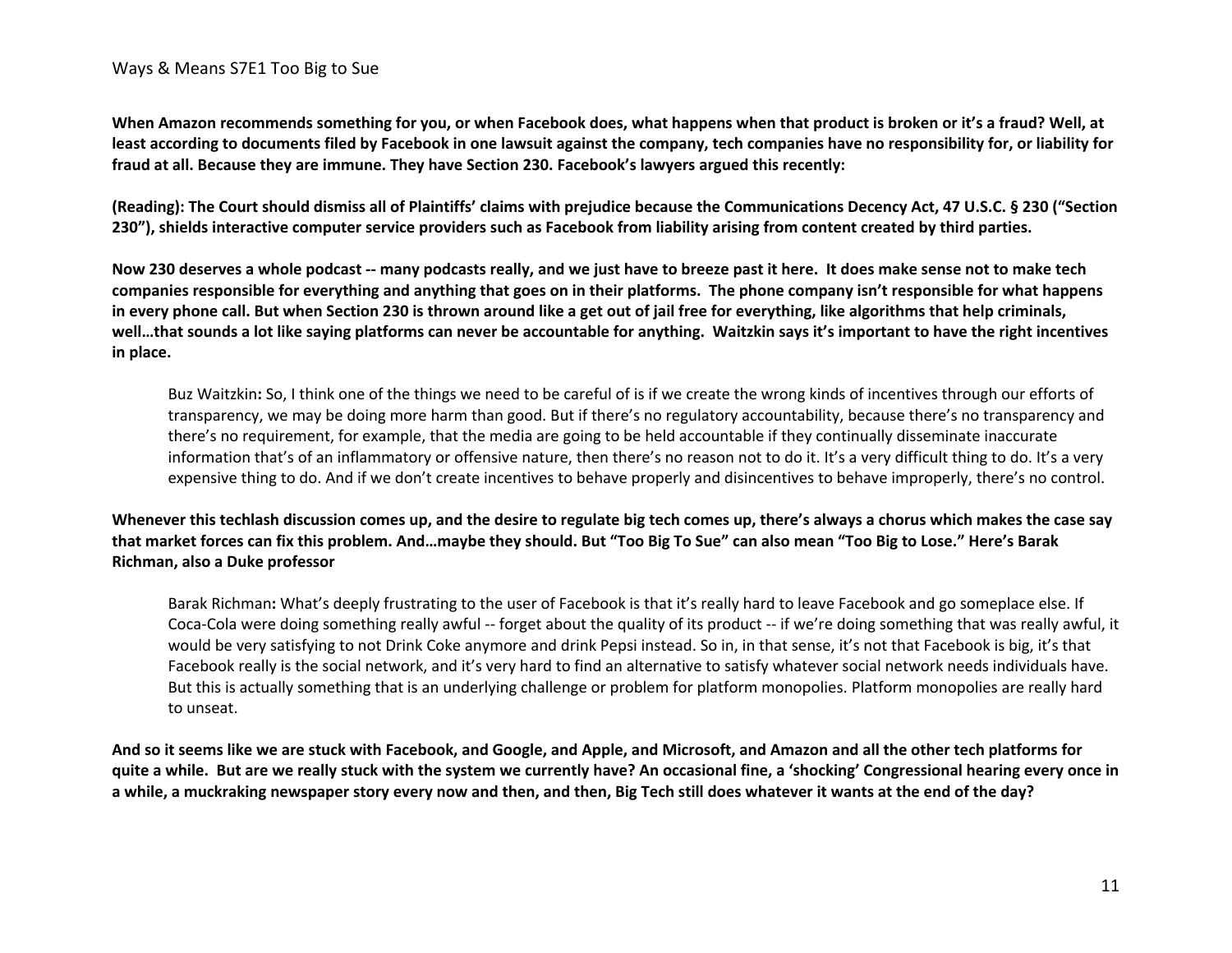**When Amazon recommends something for you, or when Facebook does, what happens when that product is broken or it's a fraud? Well, at least according to documents filed by Facebook in one lawsuit against the company, tech companies have no responsibility for, or liability for fraud at all. Because they are immune. They have Section 230. Facebook's lawyers argued this recently:** 

**(Reading): The Court should dismiss all of Plaintiffs' claims with prejudice because the Communications Decency Act, 47 U.S.C. § 230 ("Section 230"), shields interactive computer service providers such as Facebook from liability arising from content created by third parties.**

**Now 230 deserves a whole podcast -- many podcasts really, and we just have to breeze past it here. It does make sense not to make tech companies responsible for everything and anything that goes on in their platforms. The phone company isn't responsible for what happens in every phone call. But when Section 230 is thrown around like a get out of jail free for everything, like algorithms that help criminals, well…that sounds a lot like saying platforms can never be accountable for anything. Waitzkin says it's important to have the right incentives in place.**

Buz Waitzkin**:** So, I think one of the things we need to be careful of is if we create the wrong kinds of incentives through our efforts of transparency, we may be doing more harm than good. But if there's no regulatory accountability, because there's no transparency and there's no requirement, for example, that the media are going to be held accountable if they continually disseminate inaccurate information that's of an inflammatory or offensive nature, then there's no reason not to do it. It's a very difficult thing to do. It's a very expensive thing to do. And if we don't create incentives to behave properly and disincentives to behave improperly, there's no control.

**Whenever this techlash discussion comes up, and the desire to regulate big tech comes up, there's always a chorus which makes the case say that market forces can fix this problem. And…maybe they should. But "Too Big To Sue" can also mean "Too Big to Lose." Here's Barak Richman, also a Duke professor**

Barak Richman**:** What's deeply frustrating to the user of Facebook is that it's really hard to leave Facebook and go someplace else. If Coca-Cola were doing something really awful -- forget about the quality of its product -- if we're doing something that was really awful, it would be very satisfying to not Drink Coke anymore and drink Pepsi instead. So in, in that sense, it's not that Facebook is big, it's that Facebook really is the social network, and it's very hard to find an alternative to satisfy whatever social network needs individuals have. But this is actually something that is an underlying challenge or problem for platform monopolies. Platform monopolies are really hard to unseat.

**And so it seems like we are stuck with Facebook, and Google, and Apple, and Microsoft, and Amazon and all the other tech platforms for quite a while. But are we really stuck with the system we currently have? An occasional fine, a 'shocking' Congressional hearing every once in a while, a muckraking newspaper story every now and then, and then, Big Tech still does whatever it wants at the end of the day?**